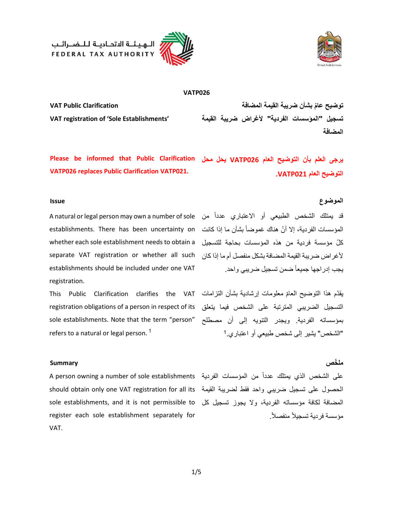



**VATP026**

**VAT registration of 'Sole Establishments'**

 **توضيح عام بشأن ضريبة القيمة المضافة Clarification Public VAT تسجيل "المؤسسات الفردية " ألغراض ضريبة القيمة المضافة** 

**يرجى العلم بأن التوضيح العام 026VATP يحل محل Please be informed that Public Clarification التوضيح العام 021VATP. VATP026 replaces Public Clarification VATP021.**

establishments. There has been uncertainty on المؤسسات الفردية، إلا أنّ هناك غموضاً بشأن ما إذا كانت ألغراض ضريبة القيمة المضافة بشكل منفصل أ م ما إذا كان separate VAT registration or whether all such whether each sole establishment needs to obtain a establishments should be included under one VAT registration.

يقدّم هذا التوضيح العامّ معلومات إرشادية بشأن التزامات This Public Clarification clarifies the VAT registration obligations of a person in respect of its sole establishments. Note that the term "person" refers to a natural or legal person.<sup>1</sup>

### **الموضوع Issue**

قد يمتلك الشخص الطبيعي أو الاعتباري عدداً من A natural or legal person may own a number of sole ّكل مؤسسة فردية من هذه المؤسسات بحاجة للتسجيل يجب إدر اجها جميعاً ضمن تسجيل ضر بيي و احد.

> التسجيل الضريبي المترتبة على الشخص فيما يتعلق بمؤسساته الفردية. ويجدر التنويه إلى أن مصطلح 1 "الشخص" يشير إلى شخص طبيعي أو اعتباري.

### **ملخص Summary**

الحصول على تسجيل ضريبي واحد فقط لضريبة القيمة should obtain only one VAT registration for all its المضافة لكافة مؤسساته الفردية ، وال يجوز تسجيل كل sole establishments, and it is not permissible to register each sole establishment separately for VAT.

على الشخص الذي يمتلك عدداً من المؤسسات الفردية A person owning a number of sole establishments مؤسسة فر دية تسجيلاً منفصلاً .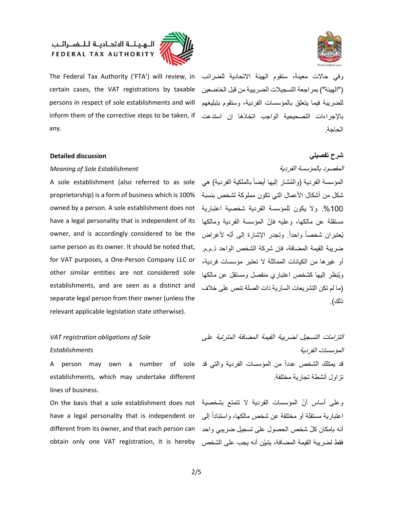

وفي حالات معينة، ستقوم الهيئة الاتحادية للضرائب .The Federal Tax Authority ('FTA') will review, in )"الهيئة"( بمراجعة التسجيلت الضريبية من قبل الخاضعين certain cases, the VAT registrations by taxable persons in respect of sole establishments and will inform them of the corrective steps to be taken, if any.

للضريبة فيما يتعلق بالمؤسسات الفردية، و ستقوم بتبليغهم باإلجراءات التصحيحية الواجب اتخاذها إن استدعت الحاجة.

### **شرح تفصيلي discussion Detailed**

### *Meaning of Sole Establishment* الفردية بالمؤسسة المقصود

100%. ولا يكون للمؤسسة الفردية شخصية اعتبارية owned by a person. A sole establishment does not ّ مستقلة عن مالكها، وعليه فإن المؤسسة الفردية ومالكها have a legal personality that is independent of its A sole establishment (also referred to as sole proprietorship) is a form of business which is 100% owner, and is accordingly considered to be the same person as its owner. It should be noted that, for VAT purposes, a One-Person Company LLC or other similar entities are not considered sole establishments, and are seen as a distinct and separate legal person from their owner (unless the relevant applicable legislation state otherwise).

## *VAT registration obligations of Sole Establishments*

establishments, which may undertake different lines of business.

اعتبارية مستقلة أو مختلفة عن شخص مالكها، واستناداً إلى have a legal personality that is independent or different from its owner, and that each person can

المؤسسة الفردية (والمُشار إليها أيضاً بالملكية الفردية) هي شكل من أشكال األعمال التي تكون مملوكة لشخص بنسبة يُعتبر ان شخصـاً و احداً. وتجدر الإشار ة إلى أنّه لأغر اض ضريبة القيمة المضافة، فإن شركة الشخص الواحد ذ .م.م. أو غيرها من الكيانات المماثلة ال تعتبر مؤسسات فردية، وي نظر إليها كشخص اعتباري منفصل ومستقل عن مالكها )ما لم تكن التشريعات السارية ذات الصلة تنص على خلف ذلك).

التزامات التسجيل لضريبة القيمة المضافة المترتبة على المؤسسات الفردية قد يمتلك الشخص عدداً من المؤسسات الفردية والتي قد A person may own a number of sole تزاول أنشطة تجارية مختلفة.

وعلى أساس أنّ المؤسسات الفردية لا نتمتع بشخصية On the basis that a sole establishment does not أنه بإمكان كلّ شخص الحصول على تسجيل ضريبي واحد obtain only one VAT registration, it is hereby فقط لضريبة القيمة المضافة، يتبيّن أنه يجب على الشخص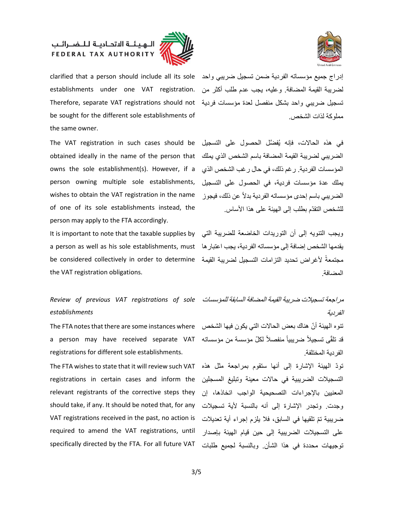



إدراج جميع مؤسساته الفردية ضمن تسجيل ضريبي واحد clarified that a person should include all its sole تسجيل ضريبي واحد بشكل منفصل لعدة مؤسسات فردية Therefore, separate VAT registrations should not establishments under one VAT registration. be sought for the different sole establishments of the same owner.

الضريبي لضريبة القيمة المضافة باسم الشخص الذي يملك obtained ideally in the name of the person that The VAT registration in such cases should be owns the sole establishment(s). However, if a person owning multiple sole establishments, wishes to obtain the VAT registration in the name of one of its sole establishments instead, the person may apply to the FTA accordingly.

يقدمها الشخص إضافة إلى مؤسساته الفردية، يجب اعتبارها a person as well as his sole establishments, must مجتمعةً لأغراض تحديد التزامات التسجيل لضريبة القيمة be considered collectively in order to determine the VAT registration obligations.

## مراجعة تسجيلت ضريبة القيمة المضافة السابقة للمؤسسات *Review of previous VAT registrations of sole establishments*

تنوه الهيئة أنّ هناك بعض الحالات التي يكون فيها الشخص The FTA notes that there are some instances where قد تلقّى تسجيلاً ضريبياً منفصلاً لكلّ مؤسسة من مؤسساته a person may have received separate VAT registrations for different sole establishments.

تودّ المهيئة الإشارة إلى أنها ستقوم بمراجعة مثل هذه The FTA wishes to state that it will review such VAT registrations in certain cases and inform the التسجيلات الضريبية في حالات معينة وتبليغ المسجلين ّ تم تلقيها في السابق، فل يلزم إجراء أية تعديلت ضريبية VAT registrations received in the past, no action is relevant registrants of the corrective steps they should take, if any. It should be noted that, for any required to amend the VAT registrations, until specifically directed by the FTA. For all future VAT

لضريبة القيمة المضافة وعليه، يجب عدم طلب أكثر من مملوكة لذات الشخص.

في هذه الحاالت، فإنه ي َّ فضل الحصول على التسجيل المؤسسات الفردية. رغم ذلك، في حال رغب الشخص الذي يملك عدة مؤسسات فردية، في الحصول على التسجيل الضريبي باسم إحدى مؤسساته الفردية بدلاً عن ذلك، فيجوز للشخص التقدّم بطلب إلى الهيئة على هذا الأساس

ويجب التنويه إلى أن التوريدات الخاضعة للضريبة التي It is important to note that the taxable supplies by المضافة.

الفردية

الفردية المختلفة.

المعنيين باإلجراءات التصحيحية الواجب اتخاذها، إن وجدت. وتجدر الإشارة إلى أنه بالنسبة لأية تسجيلات على التسجيلت الضريبية إلى حين قيام الهيئة بإصدار توجيهات محددة في هذا الشأن. وبالنسبة لجميع طلبات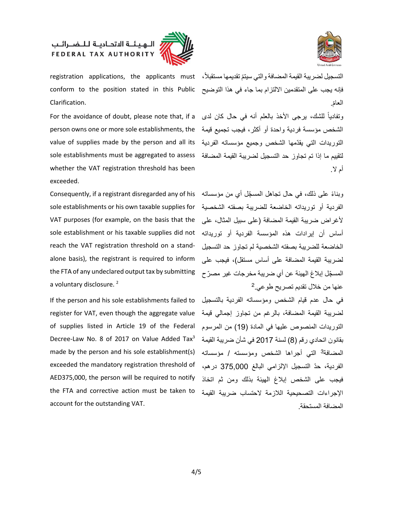



فإنه يجب على المتقدمين االلتزام بما جاء في هذا التوضيح conform to the position stated in this Public Clarification.

لتقييم ما إذا تم تجاوز حد التسجيل لضريبة القيمة المضافة sole establishments must be aggregated to assess For the avoidance of doubt, please note that, if a person owns one or more sole establishments, the value of supplies made by the person and all its whether the VAT registration threshold has been exceeded.

ً وبناء ِّّ على ذلك، في حال تجاهل المسجل أي من مؤسساته Consequently, if a registrant disregarded any of his الفردية أو توريداته الخاضعة للضريبة بصفته الشخصية sole establishments or his own taxable supplies for أساس أن إيرادات هذه المؤسسة الفردية أو توريداته sole establishment or his taxable supplies did not VAT purposes (for example, on the basis that the reach the VAT registration threshold on a standalone basis), the registrant is required to inform the FTA of any undeclared output tax by submitting a voluntary disclosure.<sup>2</sup>

made by the person and his sole establishment(s) المضافة<sup>3</sup> التي أجراها الشخص ومؤسسته / مؤسساته If the person and his sole establishments failed to register for VAT, even though the aggregate value of supplies listed in Article 19 of the Federal Decree-Law No. 8 of 2017 on Value Added Tax<sup>3</sup> exceeded the mandatory registration threshold of AED375,000, the person will be required to notify the FTA and corrective action must be taken to account for the outstanding VAT.

registration applications, the applicants must ، التسجيل لضريبة القيمة المضافة والتي سيتمّ تقديمها مستقبلاً العامّ.

> وتفادياً للشك، يرجى األخذ بالعلم أنه في حال كان لدى الشخص مؤسسة فردية واحدة أو أكثر، فيجب تجميع قيمة ّ التوريدات التي يقدمها الشخص وجميع مؤسساته الفردية أم لا .

لأغراض ضريبة القيمة المضافة (على سبيل المثال، على الخاضعة للضريبة بصفته الشخصية لم تجاوز حد التسجيل لضريبة القيمة المضافة على أساس مستقل)، فيجب على المسجّل إبلاغ الهيئة عن أي ضريبة مخرجات غير مصرّ ح 2 عنها من خلل تقديم تصريح طوعي.

في حال عدم قيام الشخص ومؤسساته الفردية بالتسجيل لضريبة القيمة المضافة، بالرغم من تجاوز إجمالي قيمة التوريدات المنصوص عليها في المادة )19( من المرسوم بقانون اتحادي رقم )8( لسنة 2017 في شأن ضريبة القيمة ّ الفردية، حد التسجيل اإللزامي البالغ 375,000 درهم، فيجب على الشخص إبلاغ الهيئة بذلك ومن ثم اتخاذ اإلجراءات التصحيحية اللزمة الحتساب ضريبة القيمة المضافة المستحقة.